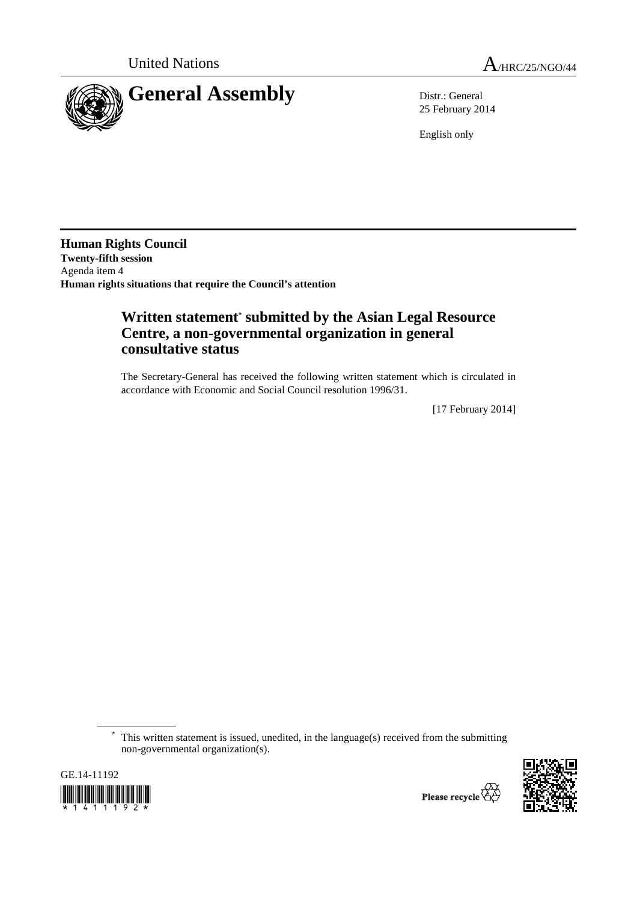

25 February 2014

English only

**Human Rights Council Twenty-fifth session**  Agenda item 4 **Human rights situations that require the Council's attention** 

## **Written statement\* submitted by the Asian Legal Resource Centre, a non-governmental organization in general consultative status**

The Secretary-General has received the following written statement which is circulated in accordance with Economic and Social Council resolution 1996/31.

[17 February 2014]

This written statement is issued, unedited, in the language(s) received from the submitting non-governmental organization(s).



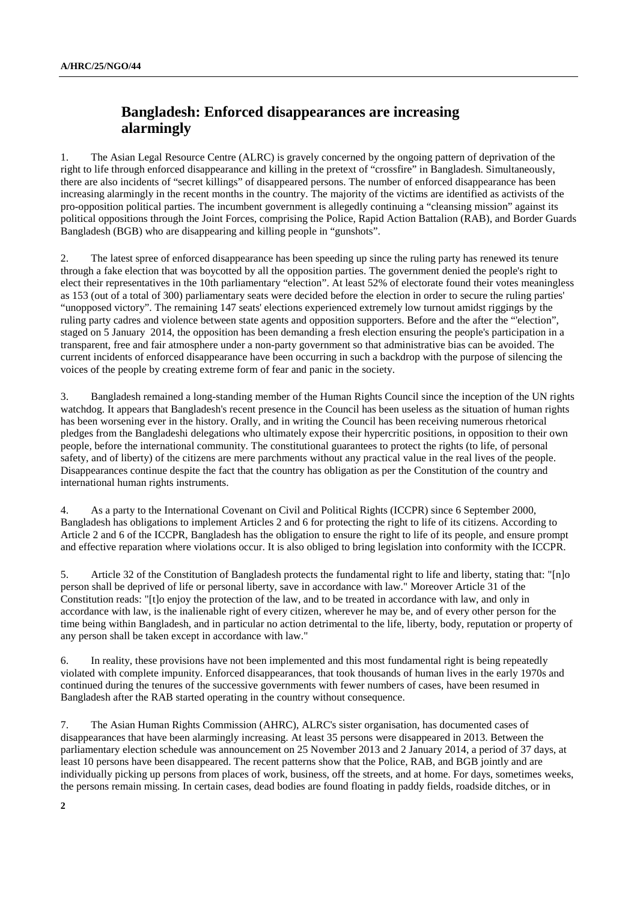## **Bangladesh: Enforced disappearances are increasing alarmingly**

1. The Asian Legal Resource Centre (ALRC) is gravely concerned by the ongoing pattern of deprivation of the right to life through enforced disappearance and killing in the pretext of "crossfire" in Bangladesh. Simultaneously, there are also incidents of "secret killings" of disappeared persons. The number of enforced disappearance has been increasing alarmingly in the recent months in the country. The majority of the victims are identified as activists of the pro-opposition political parties. The incumbent government is allegedly continuing a "cleansing mission" against its political oppositions through the Joint Forces, comprising the Police, Rapid Action Battalion (RAB), and Border Guards Bangladesh (BGB) who are disappearing and killing people in "gunshots".

2. The latest spree of enforced disappearance has been speeding up since the ruling party has renewed its tenure through a fake election that was boycotted by all the opposition parties. The government denied the people's right to elect their representatives in the 10th parliamentary "election". At least 52% of electorate found their votes meaningless as 153 (out of a total of 300) parliamentary seats were decided before the election in order to secure the ruling parties' "unopposed victory". The remaining 147 seats' elections experienced extremely low turnout amidst riggings by the ruling party cadres and violence between state agents and opposition supporters. Before and the after the "'election", staged on 5 January 2014, the opposition has been demanding a fresh election ensuring the people's participation in a transparent, free and fair atmosphere under a non-party government so that administrative bias can be avoided. The current incidents of enforced disappearance have been occurring in such a backdrop with the purpose of silencing the voices of the people by creating extreme form of fear and panic in the society.

3. Bangladesh remained a long-standing member of the Human Rights Council since the inception of the UN rights watchdog. It appears that Bangladesh's recent presence in the Council has been useless as the situation of human rights has been worsening ever in the history. Orally, and in writing the Council has been receiving numerous rhetorical pledges from the Bangladeshi delegations who ultimately expose their hypercritic positions, in opposition to their own people, before the international community. The constitutional guarantees to protect the rights (to life, of personal safety, and of liberty) of the citizens are mere parchments without any practical value in the real lives of the people. Disappearances continue despite the fact that the country has obligation as per the Constitution of the country and international human rights instruments.

4. As a party to the International Covenant on Civil and Political Rights (ICCPR) since 6 September 2000, Bangladesh has obligations to implement Articles 2 and 6 for protecting the right to life of its citizens. According to Article 2 and 6 of the ICCPR, Bangladesh has the obligation to ensure the right to life of its people, and ensure prompt and effective reparation where violations occur. It is also obliged to bring legislation into conformity with the ICCPR.

5. Article 32 of the Constitution of Bangladesh protects the fundamental right to life and liberty, stating that: "[n]o person shall be deprived of life or personal liberty, save in accordance with law." Moreover Article 31 of the Constitution reads: "[t]o enjoy the protection of the law, and to be treated in accordance with law, and only in accordance with law, is the inalienable right of every citizen, wherever he may be, and of every other person for the time being within Bangladesh, and in particular no action detrimental to the life, liberty, body, reputation or property of any person shall be taken except in accordance with law."

6. In reality, these provisions have not been implemented and this most fundamental right is being repeatedly violated with complete impunity. Enforced disappearances, that took thousands of human lives in the early 1970s and continued during the tenures of the successive governments with fewer numbers of cases, have been resumed in Bangladesh after the RAB started operating in the country without consequence.

7. The Asian Human Rights Commission (AHRC), ALRC's sister organisation, has documented cases of disappearances that have been alarmingly increasing. At least 35 persons were disappeared in 2013. Between the parliamentary election schedule was announcement on 25 November 2013 and 2 January 2014, a period of 37 days, at least 10 persons have been disappeared. The recent patterns show that the Police, RAB, and BGB jointly and are individually picking up persons from places of work, business, off the streets, and at home. For days, sometimes weeks, the persons remain missing. In certain cases, dead bodies are found floating in paddy fields, roadside ditches, or in